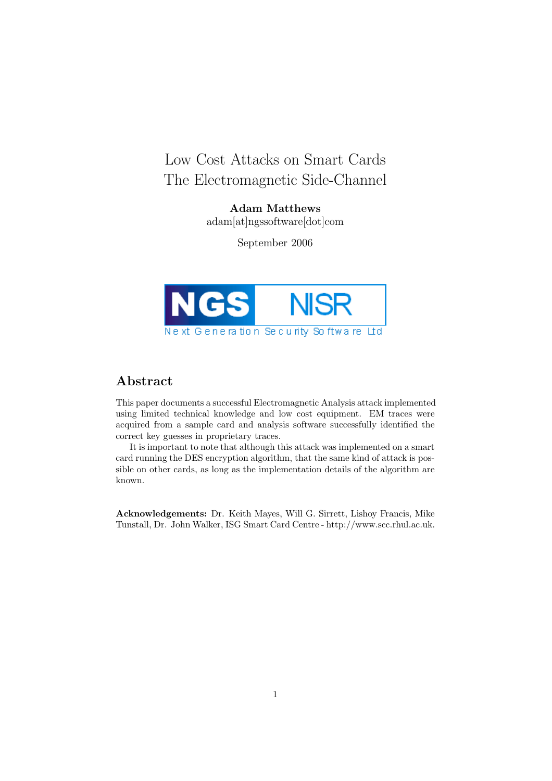# Low Cost Attacks on Smart Cards The Electromagnetic Side-Channel

Adam Matthews adam[at]ngssoftware[dot]com

September 2006



# Abstract

This paper documents a successful Electromagnetic Analysis attack implemented using limited technical knowledge and low cost equipment. EM traces were acquired from a sample card and analysis software successfully identified the correct key guesses in proprietary traces.

It is important to note that although this attack was implemented on a smart card running the DES encryption algorithm, that the same kind of attack is possible on other cards, as long as the implementation details of the algorithm are known.

Acknowledgements: Dr. Keith Mayes, Will G. Sirrett, Lishoy Francis, Mike Tunstall, Dr. John Walker, ISG Smart Card Centre - http://www.scc.rhul.ac.uk.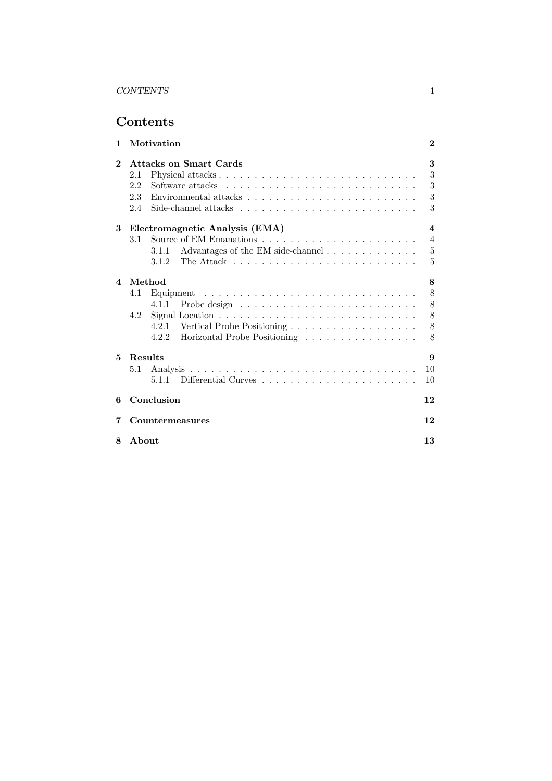# Contents

| 1              | Motivation                                                                                   | $\bf{2}$                |
|----------------|----------------------------------------------------------------------------------------------|-------------------------|
| $\mathbf{2}$   | <b>Attacks on Smart Cards</b>                                                                | 3                       |
|                | 2.1                                                                                          | 3                       |
|                | 2.2                                                                                          | 3                       |
|                | Environmental attacks $\dots \dots \dots \dots \dots \dots \dots \dots \dots \dots$<br>2.3   | 3                       |
|                | Side-channel attacks $\ldots \ldots \ldots \ldots \ldots \ldots \ldots \ldots \ldots$<br>2.4 | 3                       |
| 3              | Electromagnetic Analysis (EMA)                                                               | $\overline{\mathbf{4}}$ |
|                | 3.1                                                                                          | $\overline{4}$          |
|                | Advantages of the EM side-channel<br>3.1.1                                                   | $\bf 5$                 |
|                |                                                                                              | 5                       |
| $\overline{4}$ | Method                                                                                       | 8                       |
|                | 4.1                                                                                          | 8                       |
|                | 4.1.1                                                                                        | 8                       |
|                | 4.2                                                                                          | 8                       |
|                |                                                                                              | 8                       |
|                | Horizontal Probe Positioning<br>4.2.2                                                        | 8                       |
| 5              | Results                                                                                      | $\boldsymbol{\Omega}$   |
|                | $5.1\,$                                                                                      | 10                      |
|                |                                                                                              | 10                      |
| 6              | Conclusion                                                                                   | 12                      |
| 7              | Countermeasures                                                                              | 12                      |
| 8              | About                                                                                        | 13                      |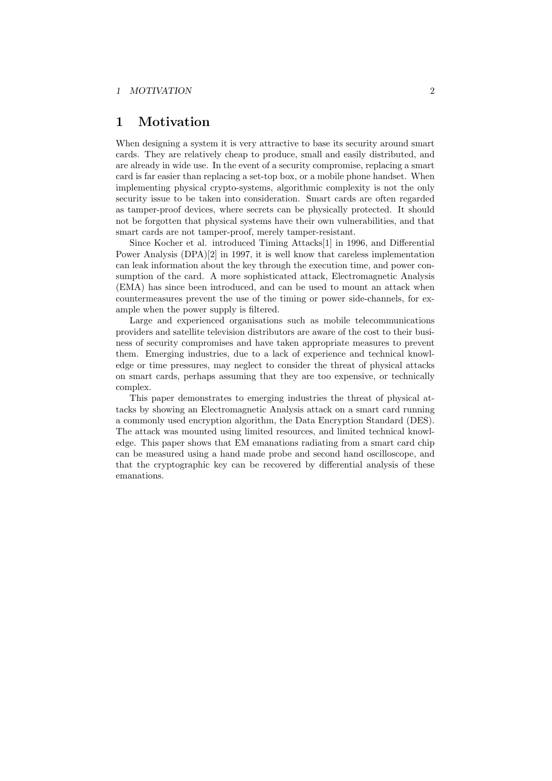# 1 Motivation

When designing a system it is very attractive to base its security around smart cards. They are relatively cheap to produce, small and easily distributed, and are already in wide use. In the event of a security compromise, replacing a smart card is far easier than replacing a set-top box, or a mobile phone handset. When implementing physical crypto-systems, algorithmic complexity is not the only security issue to be taken into consideration. Smart cards are often regarded as tamper-proof devices, where secrets can be physically protected. It should not be forgotten that physical systems have their own vulnerabilities, and that smart cards are not tamper-proof, merely tamper-resistant.

Since Kocher et al. introduced Timing Attacks[1] in 1996, and Differential Power Analysis (DPA)[2] in 1997, it is well know that careless implementation can leak information about the key through the execution time, and power consumption of the card. A more sophisticated attack, Electromagnetic Analysis (EMA) has since been introduced, and can be used to mount an attack when countermeasures prevent the use of the timing or power side-channels, for example when the power supply is filtered.

Large and experienced organisations such as mobile telecommunications providers and satellite television distributors are aware of the cost to their business of security compromises and have taken appropriate measures to prevent them. Emerging industries, due to a lack of experience and technical knowledge or time pressures, may neglect to consider the threat of physical attacks on smart cards, perhaps assuming that they are too expensive, or technically complex.

This paper demonstrates to emerging industries the threat of physical attacks by showing an Electromagnetic Analysis attack on a smart card running a commonly used encryption algorithm, the Data Encryption Standard (DES). The attack was mounted using limited resources, and limited technical knowledge. This paper shows that EM emanations radiating from a smart card chip can be measured using a hand made probe and second hand oscilloscope, and that the cryptographic key can be recovered by differential analysis of these emanations.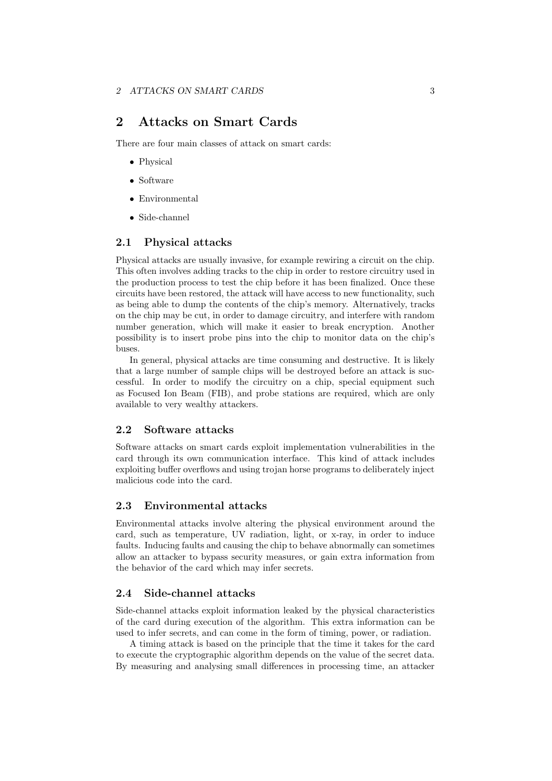# 2 Attacks on Smart Cards

There are four main classes of attack on smart cards:

- Physical
- Software
- Environmental
- Side-channel

### 2.1 Physical attacks

Physical attacks are usually invasive, for example rewiring a circuit on the chip. This often involves adding tracks to the chip in order to restore circuitry used in the production process to test the chip before it has been finalized. Once these circuits have been restored, the attack will have access to new functionality, such as being able to dump the contents of the chip's memory. Alternatively, tracks on the chip may be cut, in order to damage circuitry, and interfere with random number generation, which will make it easier to break encryption. Another possibility is to insert probe pins into the chip to monitor data on the chip's buses.

In general, physical attacks are time consuming and destructive. It is likely that a large number of sample chips will be destroyed before an attack is successful. In order to modify the circuitry on a chip, special equipment such as Focused Ion Beam (FIB), and probe stations are required, which are only available to very wealthy attackers.

#### 2.2 Software attacks

Software attacks on smart cards exploit implementation vulnerabilities in the card through its own communication interface. This kind of attack includes exploiting buffer overflows and using trojan horse programs to deliberately inject malicious code into the card.

#### 2.3 Environmental attacks

Environmental attacks involve altering the physical environment around the card, such as temperature, UV radiation, light, or x-ray, in order to induce faults. Inducing faults and causing the chip to behave abnormally can sometimes allow an attacker to bypass security measures, or gain extra information from the behavior of the card which may infer secrets.

### 2.4 Side-channel attacks

Side-channel attacks exploit information leaked by the physical characteristics of the card during execution of the algorithm. This extra information can be used to infer secrets, and can come in the form of timing, power, or radiation.

A timing attack is based on the principle that the time it takes for the card to execute the cryptographic algorithm depends on the value of the secret data. By measuring and analysing small differences in processing time, an attacker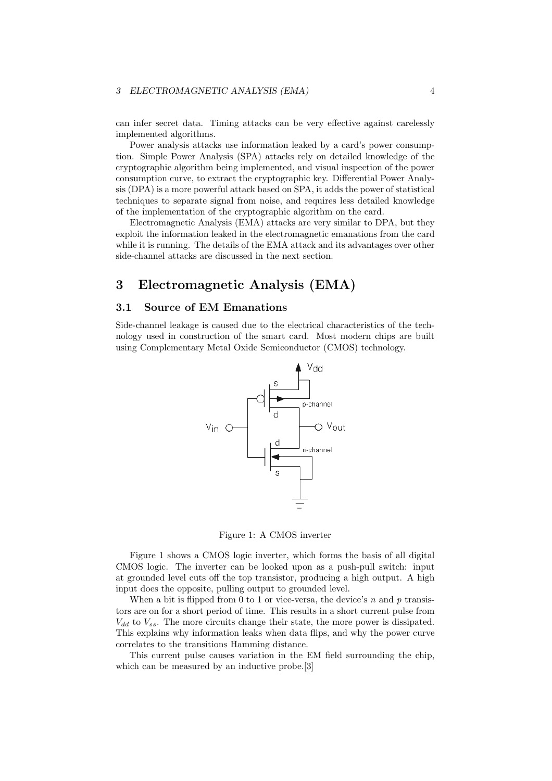can infer secret data. Timing attacks can be very effective against carelessly implemented algorithms.

Power analysis attacks use information leaked by a card's power consumption. Simple Power Analysis (SPA) attacks rely on detailed knowledge of the cryptographic algorithm being implemented, and visual inspection of the power consumption curve, to extract the cryptographic key. Differential Power Analysis (DPA) is a more powerful attack based on SPA, it adds the power of statistical techniques to separate signal from noise, and requires less detailed knowledge of the implementation of the cryptographic algorithm on the card.

Electromagnetic Analysis (EMA) attacks are very similar to DPA, but they exploit the information leaked in the electromagnetic emanations from the card while it is running. The details of the EMA attack and its advantages over other side-channel attacks are discussed in the next section.

# 3 Electromagnetic Analysis (EMA)

### 3.1 Source of EM Emanations

Side-channel leakage is caused due to the electrical characteristics of the technology used in construction of the smart card. Most modern chips are built using Complementary Metal Oxide Semiconductor (CMOS) technology.



Figure 1: A CMOS inverter

Figure 1 shows a CMOS logic inverter, which forms the basis of all digital CMOS logic. The inverter can be looked upon as a push-pull switch: input at grounded level cuts off the top transistor, producing a high output. A high input does the opposite, pulling output to grounded level.

When a bit is flipped from 0 to 1 or vice-versa, the device's  $n$  and  $p$  transistors are on for a short period of time. This results in a short current pulse from  $V_{dd}$  to  $V_{ss}$ . The more circuits change their state, the more power is dissipated. This explains why information leaks when data flips, and why the power curve correlates to the transitions Hamming distance.

This current pulse causes variation in the EM field surrounding the chip, which can be measured by an inductive probe.<sup>[3]</sup>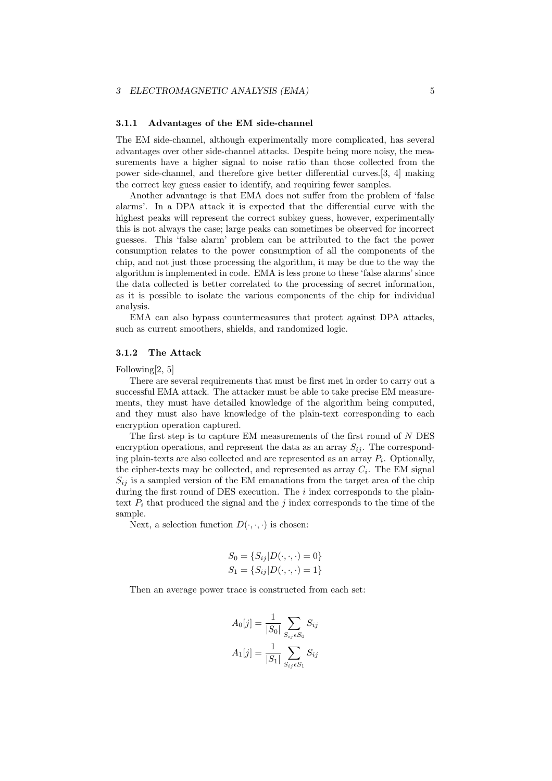#### 3.1.1 Advantages of the EM side-channel

The EM side-channel, although experimentally more complicated, has several advantages over other side-channel attacks. Despite being more noisy, the measurements have a higher signal to noise ratio than those collected from the power side-channel, and therefore give better differential curves.[3, 4] making the correct key guess easier to identify, and requiring fewer samples.

Another advantage is that EMA does not suffer from the problem of 'false alarms'. In a DPA attack it is expected that the differential curve with the highest peaks will represent the correct subkey guess, however, experimentally this is not always the case; large peaks can sometimes be observed for incorrect guesses. This 'false alarm' problem can be attributed to the fact the power consumption relates to the power consumption of all the components of the chip, and not just those processing the algorithm, it may be due to the way the algorithm is implemented in code. EMA is less prone to these 'false alarms' since the data collected is better correlated to the processing of secret information, as it is possible to isolate the various components of the chip for individual analysis.

EMA can also bypass countermeasures that protect against DPA attacks, such as current smoothers, shields, and randomized logic.

#### 3.1.2 The Attack

Following[2, 5]

There are several requirements that must be first met in order to carry out a successful EMA attack. The attacker must be able to take precise EM measurements, they must have detailed knowledge of the algorithm being computed, and they must also have knowledge of the plain-text corresponding to each encryption operation captured.

The first step is to capture EM measurements of the first round of N DES encryption operations, and represent the data as an array  $S_{ii}$ . The corresponding plain-texts are also collected and are represented as an array  $P_i$ . Optionally, the cipher-texts may be collected, and represented as array  $C_i$ . The EM signal  $S_{ij}$  is a sampled version of the EM emanations from the target area of the chip during the first round of DES execution. The  $i$  index corresponds to the plaintext  $P_i$  that produced the signal and the j index corresponds to the time of the sample.

Next, a selection function  $D(\cdot, \cdot, \cdot)$  is chosen:

$$
S_0 = \{ S_{ij} | D(\cdot, \cdot, \cdot) = 0 \}
$$
  

$$
S_1 = \{ S_{ij} | D(\cdot, \cdot, \cdot) = 1 \}
$$

Then an average power trace is constructed from each set:

$$
A_0[j] = \frac{1}{|S_0|} \sum_{S_{ij} \in S_0} S_{ij}
$$

$$
A_1[j] = \frac{1}{|S_1|} \sum_{S_{ij} \in S_1} S_{ij}
$$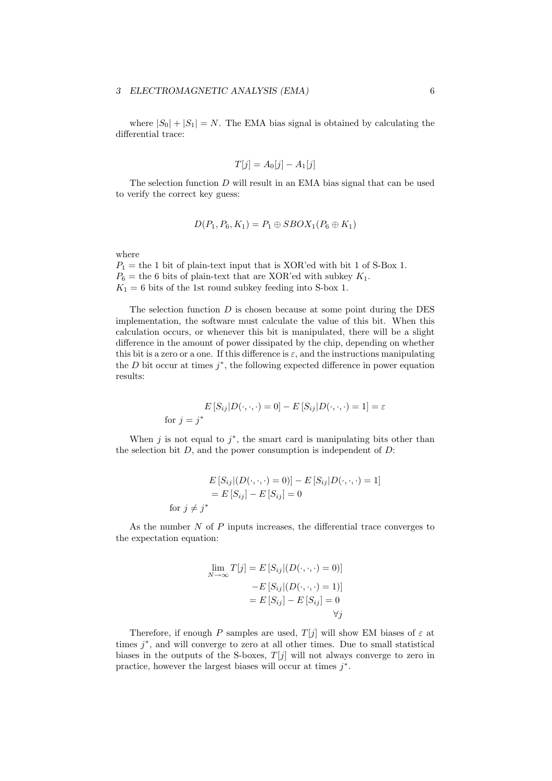where  $|S_0| + |S_1| = N$ . The EMA bias signal is obtained by calculating the differential trace:

$$
T[j] = A_0[j] - A_1[j]
$$

The selection function  $D$  will result in an EMA bias signal that can be used to verify the correct key guess:

$$
D(P_1, P_6, K_1) = P_1 \oplus SBOX_1(P_6 \oplus K_1)
$$

where

 $P_1$  = the 1 bit of plain-text input that is XOR'ed with bit 1 of S-Box 1.  $P_6$  = the 6 bits of plain-text that are XOR'ed with subkey  $K_1$ .  $K_1 = 6$  bits of the 1st round subkey feeding into S-box 1.

The selection function  $D$  is chosen because at some point during the DES implementation, the software must calculate the value of this bit. When this calculation occurs, or whenever this bit is manipulated, there will be a slight difference in the amount of power dissipated by the chip, depending on whether this bit is a zero or a one. If this difference is  $\varepsilon$ , and the instructions manipulating the  $D$  bit occur at times  $j^*$ , the following expected difference in power equation results:

$$
E\left[S_{ij}|D(\cdot,\cdot,\cdot)=0\right]-E\left[S_{ij}|D(\cdot,\cdot,\cdot)=1\right]=\varepsilon
$$
 for  $j=j^*$ 

When j is not equal to  $j^*$ , the smart card is manipulating bits other than the selection bit  $D$ , and the power consumption is independent of  $D$ :

$$
E\left[S_{ij}\right](D(\cdot,\cdot,\cdot)=0)\right]-E\left[S_{ij}\right]D(\cdot,\cdot,\cdot)=1]
$$

$$
=E\left[S_{ij}\right]-E\left[S_{ij}\right]=0
$$
for  $j \neq j^*$ 

As the number  $N$  of  $P$  inputs increases, the differential trace converges to the expectation equation:

$$
\lim_{N \to \infty} T[j] = E[S_{ij}|(D(\cdot, \cdot, \cdot) = 0)]
$$

$$
-E[S_{ij}|(D(\cdot, \cdot, \cdot) = 1)]
$$

$$
= E[S_{ij}] - E[S_{ij}] = 0
$$

$$
\forall j
$$

Therefore, if enough P samples are used,  $T[j]$  will show EM biases of  $\varepsilon$  at times  $j^*$ , and will converge to zero at all other times. Due to small statistical biases in the outputs of the S-boxes,  $T[j]$  will not always converge to zero in practice, however the largest biases will occur at times  $j^*$ .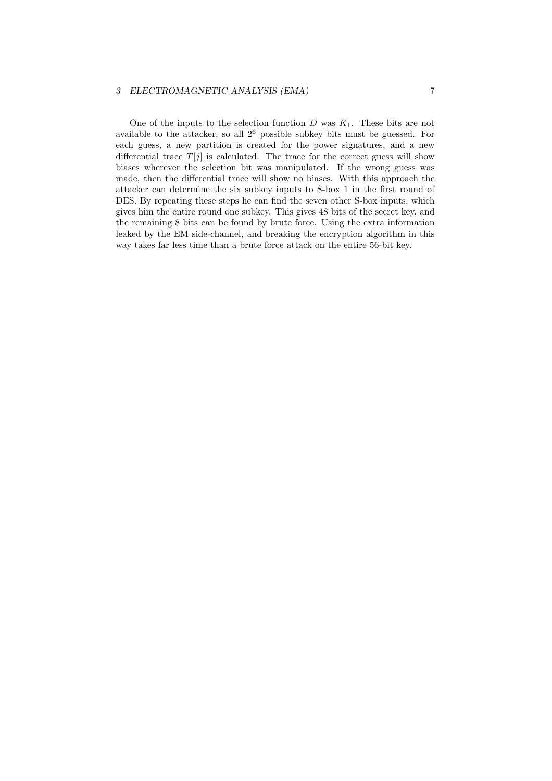#### 3 ELECTROMAGNETIC ANALYSIS (EMA) 7

One of the inputs to the selection function  $D$  was  $K_1$ . These bits are not available to the attacker, so all  $2^6$  possible subkey bits must be guessed. For each guess, a new partition is created for the power signatures, and a new differential trace  $T[j]$  is calculated. The trace for the correct guess will show biases wherever the selection bit was manipulated. If the wrong guess was made, then the differential trace will show no biases. With this approach the attacker can determine the six subkey inputs to S-box 1 in the first round of DES. By repeating these steps he can find the seven other S-box inputs, which gives him the entire round one subkey. This gives 48 bits of the secret key, and the remaining 8 bits can be found by brute force. Using the extra information leaked by the EM side-channel, and breaking the encryption algorithm in this way takes far less time than a brute force attack on the entire 56-bit key.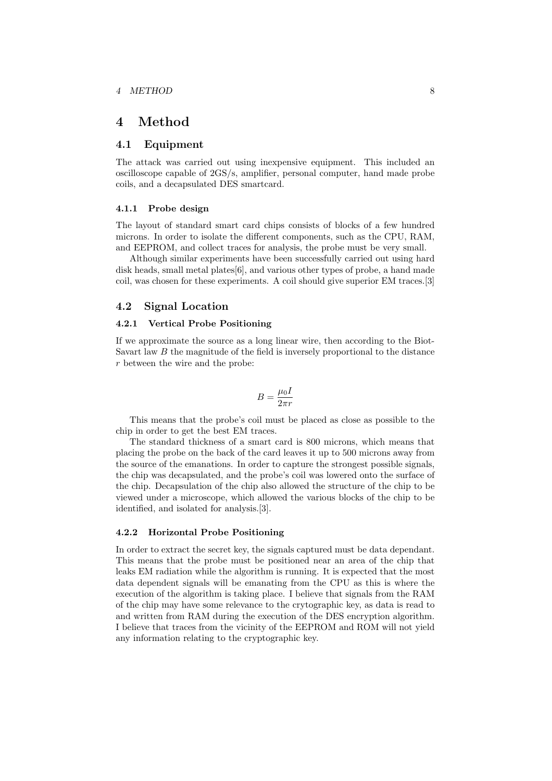# 4 Method

### 4.1 Equipment

The attack was carried out using inexpensive equipment. This included an oscilloscope capable of 2GS/s, amplifier, personal computer, hand made probe coils, and a decapsulated DES smartcard.

#### 4.1.1 Probe design

The layout of standard smart card chips consists of blocks of a few hundred microns. In order to isolate the different components, such as the CPU, RAM, and EEPROM, and collect traces for analysis, the probe must be very small.

Although similar experiments have been successfully carried out using hard disk heads, small metal plates[6], and various other types of probe, a hand made coil, was chosen for these experiments. A coil should give superior EM traces.[3]

#### 4.2 Signal Location

#### 4.2.1 Vertical Probe Positioning

If we approximate the source as a long linear wire, then according to the Biot-Savart law B the magnitude of the field is inversely proportional to the distance r between the wire and the probe:

$$
B=\frac{\mu_0 I}{2\pi r}
$$

This means that the probe's coil must be placed as close as possible to the chip in order to get the best EM traces.

The standard thickness of a smart card is 800 microns, which means that placing the probe on the back of the card leaves it up to 500 microns away from the source of the emanations. In order to capture the strongest possible signals, the chip was decapsulated, and the probe's coil was lowered onto the surface of the chip. Decapsulation of the chip also allowed the structure of the chip to be viewed under a microscope, which allowed the various blocks of the chip to be identified, and isolated for analysis.[3].

#### 4.2.2 Horizontal Probe Positioning

In order to extract the secret key, the signals captured must be data dependant. This means that the probe must be positioned near an area of the chip that leaks EM radiation while the algorithm is running. It is expected that the most data dependent signals will be emanating from the CPU as this is where the execution of the algorithm is taking place. I believe that signals from the RAM of the chip may have some relevance to the crytographic key, as data is read to and written from RAM during the execution of the DES encryption algorithm. I believe that traces from the vicinity of the EEPROM and ROM will not yield any information relating to the cryptographic key.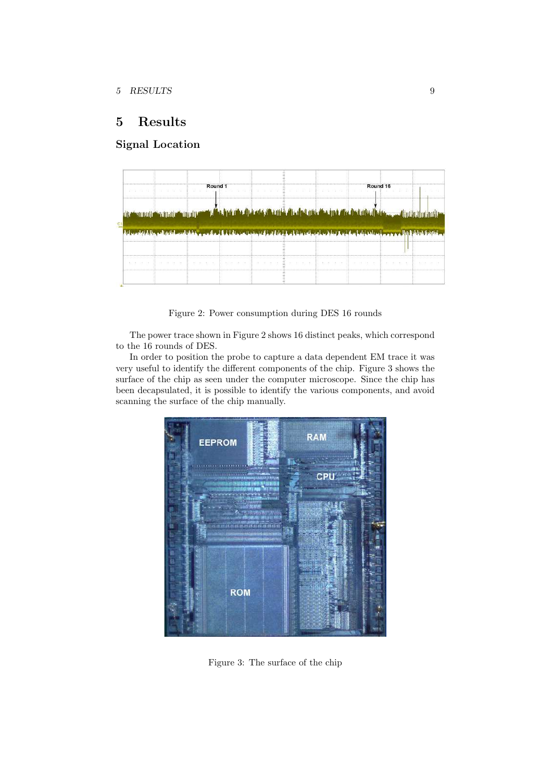# 5 Results

# Signal Location



Figure 2: Power consumption during DES 16 rounds

The power trace shown in Figure 2 shows 16 distinct peaks, which correspond to the 16 rounds of DES.

In order to position the probe to capture a data dependent EM trace it was very useful to identify the different components of the chip. Figure 3 shows the surface of the chip as seen under the computer microscope. Since the chip has been decapsulated, it is possible to identify the various components, and avoid scanning the surface of the chip manually.



Figure 3: The surface of the chip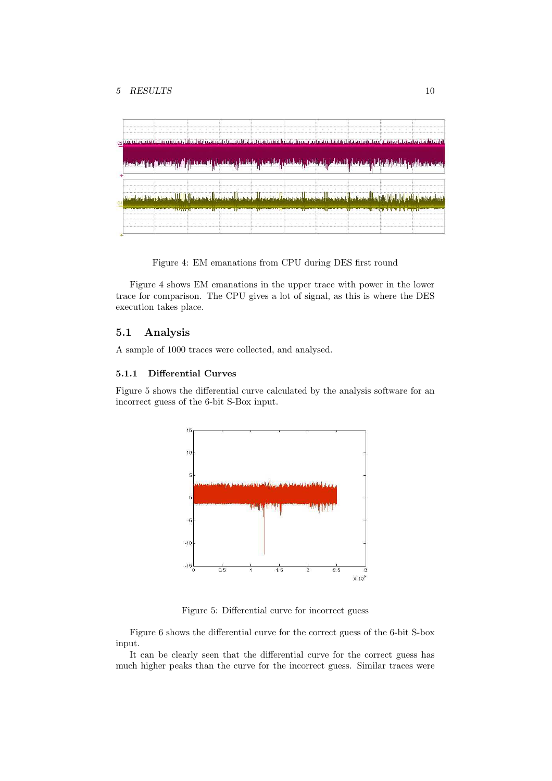

Figure 4: EM emanations from CPU during DES first round

Figure 4 shows EM emanations in the upper trace with power in the lower trace for comparison. The CPU gives a lot of signal, as this is where the DES execution takes place.

### 5.1 Analysis

A sample of 1000 traces were collected, and analysed.

#### 5.1.1 Differential Curves

Figure 5 shows the differential curve calculated by the analysis software for an incorrect guess of the 6-bit S-Box input.



Figure 5: Differential curve for incorrect guess

Figure 6 shows the differential curve for the correct guess of the 6-bit S-box input.

It can be clearly seen that the differential curve for the correct guess has much higher peaks than the curve for the incorrect guess. Similar traces were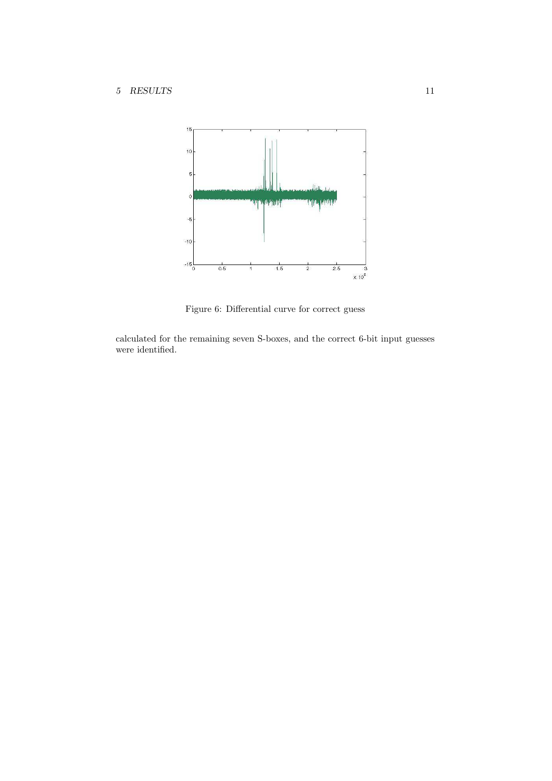

Figure 6: Differential curve for correct guess

calculated for the remaining seven S-boxes, and the correct 6-bit input guesses were identified.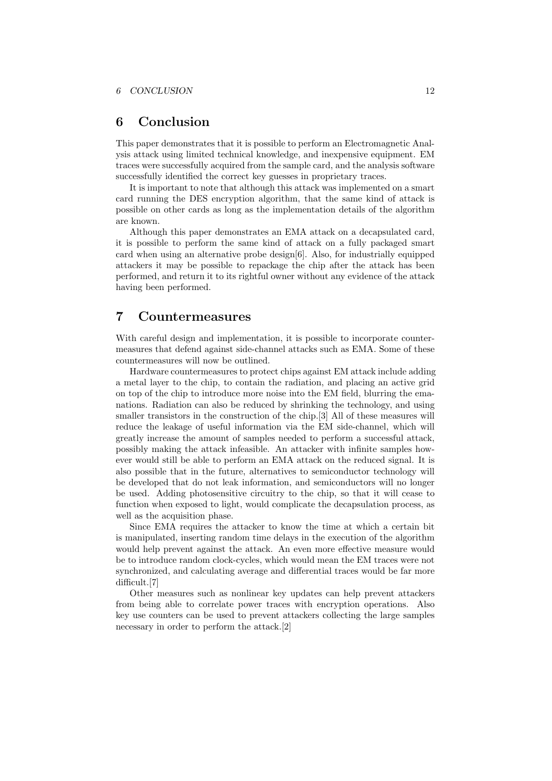# 6 Conclusion

This paper demonstrates that it is possible to perform an Electromagnetic Analysis attack using limited technical knowledge, and inexpensive equipment. EM traces were successfully acquired from the sample card, and the analysis software successfully identified the correct key guesses in proprietary traces.

It is important to note that although this attack was implemented on a smart card running the DES encryption algorithm, that the same kind of attack is possible on other cards as long as the implementation details of the algorithm are known.

Although this paper demonstrates an EMA attack on a decapsulated card, it is possible to perform the same kind of attack on a fully packaged smart card when using an alternative probe design[6]. Also, for industrially equipped attackers it may be possible to repackage the chip after the attack has been performed, and return it to its rightful owner without any evidence of the attack having been performed.

# 7 Countermeasures

With careful design and implementation, it is possible to incorporate countermeasures that defend against side-channel attacks such as EMA. Some of these countermeasures will now be outlined.

Hardware countermeasures to protect chips against EM attack include adding a metal layer to the chip, to contain the radiation, and placing an active grid on top of the chip to introduce more noise into the EM field, blurring the emanations. Radiation can also be reduced by shrinking the technology, and using smaller transistors in the construction of the chip.[3] All of these measures will reduce the leakage of useful information via the EM side-channel, which will greatly increase the amount of samples needed to perform a successful attack, possibly making the attack infeasible. An attacker with infinite samples however would still be able to perform an EMA attack on the reduced signal. It is also possible that in the future, alternatives to semiconductor technology will be developed that do not leak information, and semiconductors will no longer be used. Adding photosensitive circuitry to the chip, so that it will cease to function when exposed to light, would complicate the decapsulation process, as well as the acquisition phase.

Since EMA requires the attacker to know the time at which a certain bit is manipulated, inserting random time delays in the execution of the algorithm would help prevent against the attack. An even more effective measure would be to introduce random clock-cycles, which would mean the EM traces were not synchronized, and calculating average and differential traces would be far more difficult.[7]

Other measures such as nonlinear key updates can help prevent attackers from being able to correlate power traces with encryption operations. Also key use counters can be used to prevent attackers collecting the large samples necessary in order to perform the attack.[2]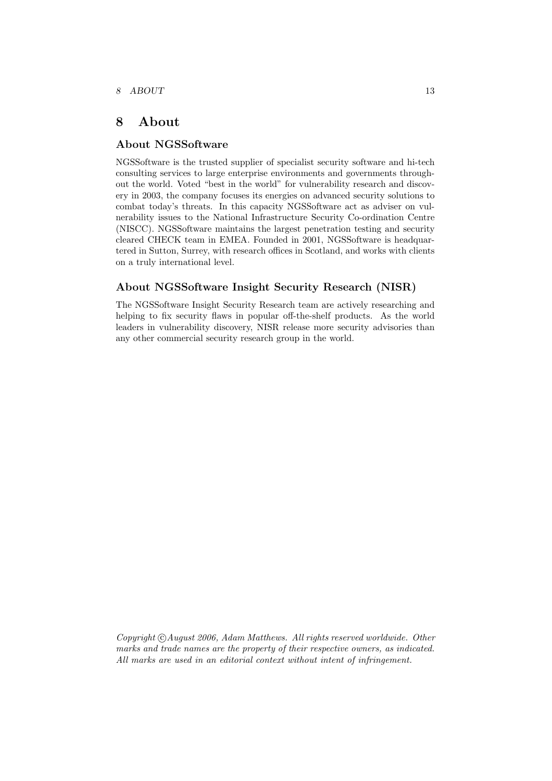# 8 About

### About NGSSoftware

NGSSoftware is the trusted supplier of specialist security software and hi-tech consulting services to large enterprise environments and governments throughout the world. Voted "best in the world" for vulnerability research and discovery in 2003, the company focuses its energies on advanced security solutions to combat today's threats. In this capacity NGSSoftware act as adviser on vulnerability issues to the National Infrastructure Security Co-ordination Centre (NISCC). NGSSoftware maintains the largest penetration testing and security cleared CHECK team in EMEA. Founded in 2001, NGSSoftware is headquartered in Sutton, Surrey, with research offices in Scotland, and works with clients on a truly international level.

### About NGSSoftware Insight Security Research (NISR)

The NGSSoftware Insight Security Research team are actively researching and helping to fix security flaws in popular off-the-shelf products. As the world leaders in vulnerability discovery, NISR release more security advisories than any other commercial security research group in the world.

 $Copyright \odot August \, 2006, \, Adam \, Matthews. \, All \, rights \, reserved \, worldwide. \, Other$ marks and trade names are the property of their respective owners, as indicated. All marks are used in an editorial context without intent of infringement.